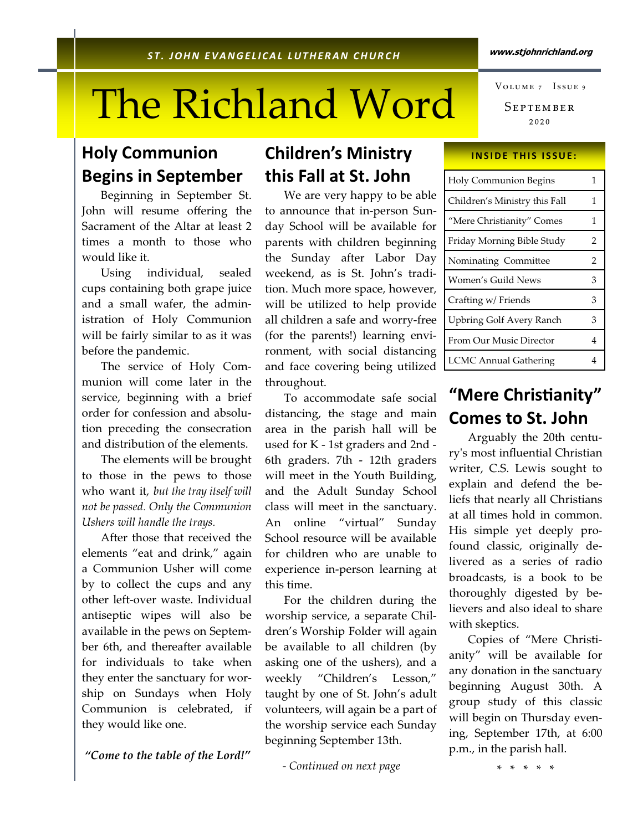# The Richland Word

### Holy Communion Begins in September

 Beginning in September St. John will resume offering the Sacrament of the Altar at least 2 times a month to those who would like it.

 Using individual, sealed cups containing both grape juice and a small wafer, the administration of Holy Communion will be fairly similar to as it was before the pandemic.

 The service of Holy Communion will come later in the service, beginning with a brief order for confession and absolution preceding the consecration and distribution of the elements.

 The elements will be brought to those in the pews to those who want it, but the tray itself will not be passed. Only the Communion Ushers will handle the trays.

After those that received the elements "eat and drink," again a Communion Usher will come by to collect the cups and any other left-over waste. Individual antiseptic wipes will also be available in the pews on September 6th, and thereafter available for individuals to take when they enter the sanctuary for worship on Sundays when Holy Communion is celebrated, if they would like one.

"Come to the table of the Lord!"

### Children's Ministry this Fall at St. John

 We are very happy to be able to announce that in-person Sunday School will be available for parents with children beginning the Sunday after Labor Day weekend, as is St. John's tradition. Much more space, however, will be utilized to help provide all children a safe and worry-free (for the parents!) learning environment, with social distancing and face covering being utilized throughout.

 To accommodate safe social distancing, the stage and main area in the parish hall will be used for K - 1st graders and 2nd - 6th graders. 7th - 12th graders will meet in the Youth Building, and the Adult Sunday School class will meet in the sanctuary. An online "virtual" Sunday School resource will be available for children who are unable to experience in-person learning at this time.

 For the children during the worship service, a separate Children's Worship Folder will again be available to all children (by asking one of the ushers), and a weekly "Children's Lesson," taught by one of St. John's adult volunteers, will again be a part of the worship service each Sunday beginning September 13th.

- Continued on next page

Septembe ₂₀₂₀ VOLUME 7 ISSUE 9

#### **INSIDE THIS ISSUE:**

| <b>Holy Communion Begins</b>    | 1 |
|---------------------------------|---|
| Children's Ministry this Fall   | 1 |
| "Mere Christianity" Comes       | 1 |
| Friday Morning Bible Study      | 2 |
| Nominating Committee            | 2 |
| Women's Guild News              | 3 |
| Crafting w/ Friends             | 3 |
| <b>Upbring Golf Avery Ranch</b> | 3 |
| From Our Music Director         | 4 |
| <b>LCMC Annual Gathering</b>    | 4 |

#### "Mere Christianity" Comes to St. John

 Arguably the 20th centuryʹs most influential Christian writer, C.S. Lewis sought to explain and defend the beliefs that nearly all Christians at all times hold in common. His simple yet deeply profound classic, originally delivered as a series of radio broadcasts, is a book to be thoroughly digested by believers and also ideal to share with skeptics.

 Copies of "Mere Christianity" will be available for any donation in the sanctuary beginning August 30th. A group study of this classic will begin on Thursday evening, September 17th, at 6:00 p.m., in the parish hall.

\* \* \* \* \*

#### www.stjohnrichland.org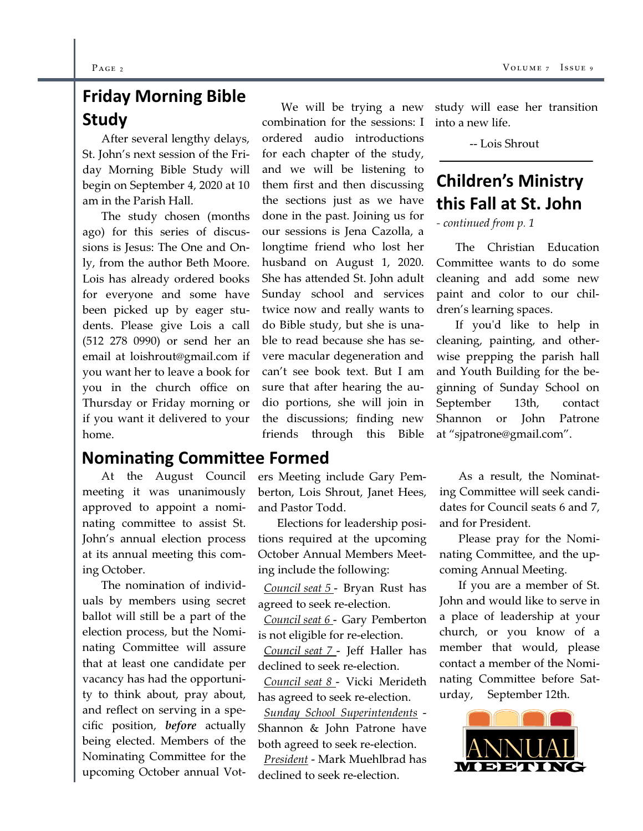# Friday Morning Bible Study

 After several lengthy delays, St. John's next session of the Friday Morning Bible Study will begin on September 4, 2020 at 10 am in the Parish Hall.

 The study chosen (months ago) for this series of discussions is Jesus: The One and Only, from the author Beth Moore. Lois has already ordered books for everyone and some have been picked up by eager students. Please give Lois a call (512 278 0990) or send her an email at loishrout@gmail.com if you want her to leave a book for you in the church office on Thursday or Friday morning or if you want it delivered to your home.

#### Nominating Committee Formed

 At the August Council meeting it was unanimously approved to appoint a nominating committee to assist St. John's annual election process at its annual meeting this coming October.

 The nomination of individuals by members using secret ballot will still be a part of the election process, but the Nominating Committee will assure that at least one candidate per vacancy has had the opportunity to think about, pray about, and reflect on serving in a specific position, before actually being elected. Members of the Nominating Committee for the upcoming October annual Vot-

 We will be trying a new combination for the sessions: I ordered audio introductions for each chapter of the study, and we will be listening to them first and then discussing the sections just as we have done in the past. Joining us for our sessions is Jena Cazolla, a longtime friend who lost her husband on August 1, 2020. She has attended St. John adult Sunday school and services twice now and really wants to do Bible study, but she is unable to read because she has severe macular degeneration and can't see book text. But I am sure that after hearing the audio portions, she will join in the discussions; finding new friends through this Bible

ers Meeting include Gary Pemberton, Lois Shrout, Janet Hees, and Pastor Todd.

 Elections for leadership positions required at the upcoming October Annual Members Meeting include the following:

 Council seat 5 - Bryan Rust has agreed to seek re-election.

 Council seat 6 - Gary Pemberton is not eligible for re-election.

 Council seat 7 - Jeff Haller has declined to seek re-election.

 Council seat 8 - Vicki Merideth has agreed to seek re-election.

 Sunday School Superintendents - Shannon & John Patrone have both agreed to seek re-election. President - Mark Muehlbrad has

declined to seek re-election.

study will ease her transition into a new life.

-- Lois Shrout

# Children's Ministry this Fall at St. John

- continued from p. 1

 The Christian Education Committee wants to do some cleaning and add some new paint and color to our children's learning spaces.

If you'd like to help in cleaning, painting, and otherwise prepping the parish hall and Youth Building for the beginning of Sunday School on September 13th, contact Shannon or John Patrone at "sjpatrone@gmail.com".

 As a result, the Nominating Committee will seek candidates for Council seats 6 and 7, and for President.

 Please pray for the Nominating Committee, and the upcoming Annual Meeting.

 If you are a member of St. John and would like to serve in a place of leadership at your church, or you know of a member that would, please contact a member of the Nominating Committee before Saturday, September 12th.

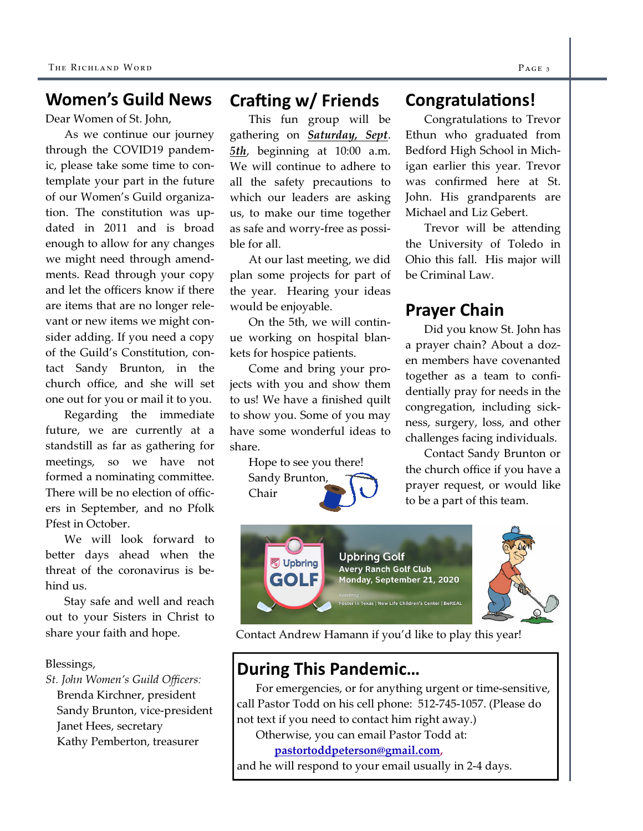#### Women's Guild News

Dear Women of St. John,

 As we continue our journey through the COVID19 pandemic, please take some time to contemplate your part in the future of our Women's Guild organization. The constitution was updated in 2011 and is broad enough to allow for any changes we might need through amendments. Read through your copy and let the officers know if there are items that are no longer relevant or new items we might consider adding. If you need a copy of the Guild's Constitution, contact Sandy Brunton, in the church office, and she will set one out for you or mail it to you.

 Regarding the immediate future, we are currently at a standstill as far as gathering for meetings, so we have not formed a nominating committee. There will be no election of officers in September, and no Pfolk Pfest in October.

 We will look forward to better days ahead when the threat of the coronavirus is behind us.

 Stay safe and well and reach out to your Sisters in Christ to share your faith and hope.

#### Blessings,

St. John Women's Guild Officers: Brenda Kirchner, president Sandy Brunton, vice-president Janet Hees, secretary Kathy Pemberton, treasurer

#### Crafting w/ Friends

This fun group will be gathering on **Saturday**, Sept. 5th, beginning at 10:00 a.m. We will continue to adhere to all the safety precautions to which our leaders are asking us, to make our time together as safe and worry-free as possible for all.

 At our last meeting, we did plan some projects for part of the year. Hearing your ideas would be enjoyable.

 On the 5th, we will continue working on hospital blankets for hospice patients.

 Come and bring your projects with you and show them to us! We have a finished quilt to show you. Some of you may have some wonderful ideas to share.

> Hope to see you there! Sandy Brunton, Chair

#### Congratulations!

Congratulations to Trevor Ethun who graduated from Bedford High School in Michigan earlier this year. Trevor was confirmed here at St. John. His grandparents are Michael and Liz Gebert.

Trevor will be attending the University of Toledo in Ohio this fall. His major will be Criminal Law.

#### Prayer Chain

Did you know St. John has a prayer chain? About a dozen members have covenanted together as a team to confidentially pray for needs in the congregation, including sickness, surgery, loss, and other challenges facing individuals.

 Contact Sandy Brunton or the church office if you have a prayer request, or would like to be a part of this team.





Contact Andrew Hamann if you'd like to play this year!

## During This Pandemic…

 For emergencies, or for anything urgent or time-sensitive, call Pastor Todd on his cell phone: 512-745-1057. (Please do not text if you need to contact him right away.)

Otherwise, you can email Pastor Todd at:

#### pastortoddpeterson@gmail.com,

and he will respond to your email usually in 2-4 days.